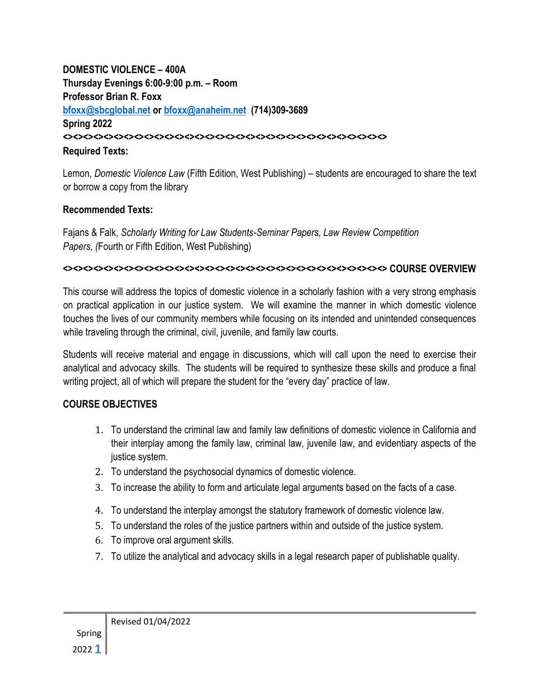#### **DOMESTIC VIOLENCE – 400A Thursday Evenings 6:00-9:00 p.m. – Room Professor Brian R. Foxx [bfoxx@sbcglobal.net](mailto:bfoxx@sbcglobal.net) or [bfoxx@anaheim.net](mailto:bfoxx@anaheim.net) (714)309-3689 Spring 2022 <><><><><><><><><><><><><><><><><><><><><><><><><><><><><><><><> Required Texts:**

Lemon, *Domestic Violence Law* (Fifth Edition, West Publishing) – students are encouraged to share the text or borrow a copy from the library

#### **Recommended Texts:**

Fajans & Falk, *Scholarly Writing for Law Students-Seminar Papers, Law Review Competition Papers, (*Fourth or Fifth Edition, West Publishing)

#### **<><><><><><><><><><><><><><><><><><><><><><><><><><><><><><><><> COURSE OVERVIEW**

This course will address the topics of domestic violence in a scholarly fashion with a very strong emphasis on practical application in our justice system. We will examine the manner in which domestic violence touches the lives of our community members while focusing on its intended and unintended consequences while traveling through the criminal, civil, juvenile, and family law courts.

Students will receive material and engage in discussions, which will call upon the need to exercise their analytical and advocacy skills. The students will be required to synthesize these skills and produce a final writing project, all of which will prepare the student for the "every day" practice of law.

#### **COURSE OBJECTIVES**

- 1. To understand the criminal law and family law definitions of domestic violence in California and their interplay among the family law, criminal law, juvenile law, and evidentiary aspects of the justice system.
- 2. To understand the psychosocial dynamics of domestic violence.
- 3. To increase the ability to form and articulate legal arguments based on the facts of a case.
- 4. To understand the interplay amongst the statutory framework of domestic violence law.
- 5. To understand the roles of the justice partners within and outside of the justice system.
- 6. To improve oral argument skills.
- 7. To utilize the analytical and advocacy skills in a legal research paper of publishable quality.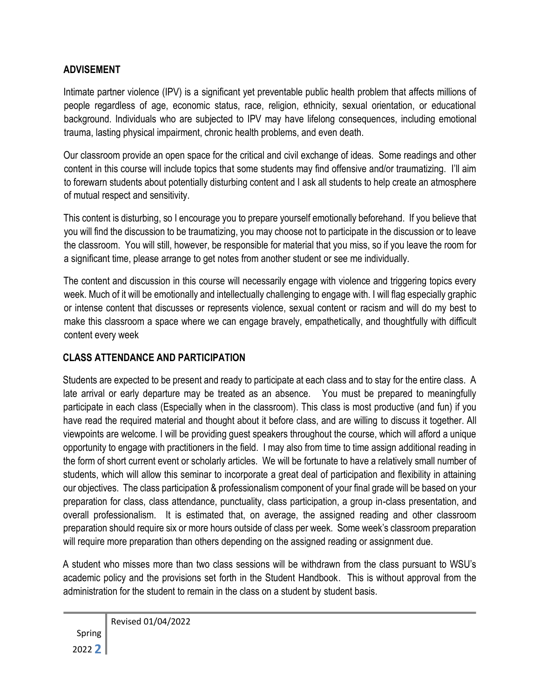### **ADVISEMENT**

Intimate partner violence (IPV) is a significant yet preventable public health problem that affects millions of people regardless of age, economic status, race, religion, ethnicity, sexual orientation, or educational background. Individuals who are subjected to IPV may have lifelong consequences, including emotional trauma, lasting physical impairment, chronic health problems, and even death.

Our classroom provide an open space for the critical and civil exchange of ideas. Some readings and other content in this course will include topics that some students may find offensive and/or traumatizing. I'll aim to forewarn students about potentially disturbing content and I ask all students to help create an atmosphere of mutual respect and sensitivity.

This content is disturbing, so I encourage you to prepare yourself emotionally beforehand. If you believe that you will find the discussion to be traumatizing, you may choose not to participate in the discussion or to leave the classroom. You will still, however, be responsible for material that you miss, so if you leave the room for a significant time, please arrange to get notes from another student or see me individually.

The content and discussion in this course will necessarily engage with violence and triggering topics every week. Much of it will be emotionally and intellectually challenging to engage with. I will flag especially graphic or intense content that discusses or represents violence, sexual content or racism and will do my best to make this classroom a space where we can engage bravely, empathetically, and thoughtfully with difficult content every week

#### **CLASS ATTENDANCE AND PARTICIPATION**

Students are expected to be present and ready to participate at each class and to stay for the entire class. A late arrival or early departure may be treated as an absence. You must be prepared to meaningfully participate in each class (Especially when in the classroom). This class is most productive (and fun) if you have read the required material and thought about it before class, and are willing to discuss it together. All viewpoints are welcome. I will be providing guest speakers throughout the course, which will afford a unique opportunity to engage with practitioners in the field. I may also from time to time assign additional reading in the form of short current event or scholarly articles. We will be fortunate to have a relatively small number of students, which will allow this seminar to incorporate a great deal of participation and flexibility in attaining our objectives. The class participation & professionalism component of your final grade will be based on your preparation for class, class attendance, punctuality, class participation, a group in-class presentation, and overall professionalism. It is estimated that, on average, the assigned reading and other classroom preparation should require six or more hours outside of class per week. Some week's classroom preparation will require more preparation than others depending on the assigned reading or assignment due.

A student who misses more than two class sessions will be withdrawn from the class pursuant to WSU's academic policy and the provisions set forth in the Student Handbook. This is without approval from the administration for the student to remain in the class on a student by student basis.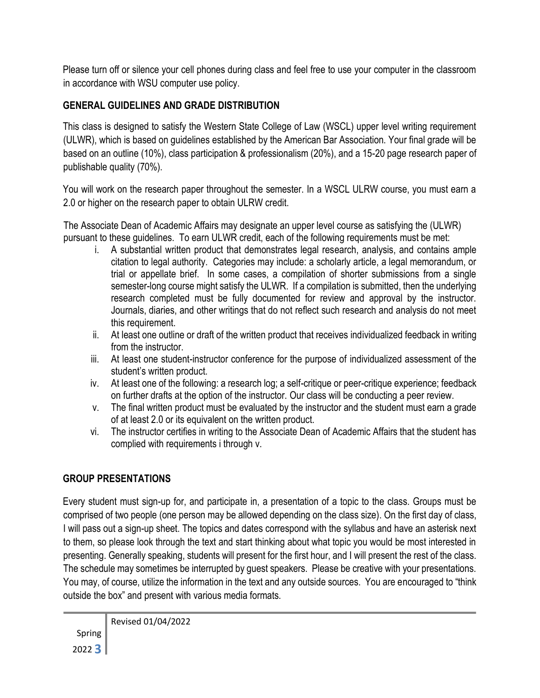Please turn off or silence your cell phones during class and feel free to use your computer in the classroom in accordance with WSU computer use policy.

# **GENERAL GUIDELINES AND GRADE DISTRIBUTION**

This class is designed to satisfy the Western State College of Law (WSCL) upper level writing requirement (ULWR), which is based on guidelines established by the American Bar Association. Your final grade will be based on an outline (10%), class participation & professionalism (20%), and a 15-20 page research paper of publishable quality (70%).

You will work on the research paper throughout the semester. In a WSCL ULRW course, you must earn a 2.0 or higher on the research paper to obtain ULRW credit.

The Associate Dean of Academic Affairs may designate an upper level course as satisfying the (ULWR) pursuant to these guidelines. To earn ULWR credit, each of the following requirements must be met:

- i. A substantial written product that demonstrates legal research, analysis, and contains ample citation to legal authority. Categories may include: a scholarly article, a legal memorandum, or trial or appellate brief. In some cases, a compilation of shorter submissions from a single semester-long course might satisfy the ULWR. If a compilation is submitted, then the underlying research completed must be fully documented for review and approval by the instructor. Journals, diaries, and other writings that do not reflect such research and analysis do not meet this requirement.
- ii. At least one outline or draft of the written product that receives individualized feedback in writing from the instructor.
- iii. At least one student-instructor conference for the purpose of individualized assessment of the student's written product.
- iv. At least one of the following: a research log; a self-critique or peer-critique experience; feedback on further drafts at the option of the instructor. Our class will be conducting a peer review.
- v. The final written product must be evaluated by the instructor and the student must earn a grade of at least 2.0 or its equivalent on the written product.
- vi. The instructor certifies in writing to the Associate Dean of Academic Affairs that the student has complied with requirements i through v.

# **GROUP PRESENTATIONS**

Every student must sign-up for, and participate in, a presentation of a topic to the class. Groups must be comprised of two people (one person may be allowed depending on the class size). On the first day of class, I will pass out a sign-up sheet. The topics and dates correspond with the syllabus and have an asterisk next to them, so please look through the text and start thinking about what topic you would be most interested in presenting. Generally speaking, students will present for the first hour, and I will present the rest of the class. The schedule may sometimes be interrupted by guest speakers. Please be creative with your presentations. You may, of course, utilize the information in the text and any outside sources. You are encouraged to "think outside the box" and present with various media formats.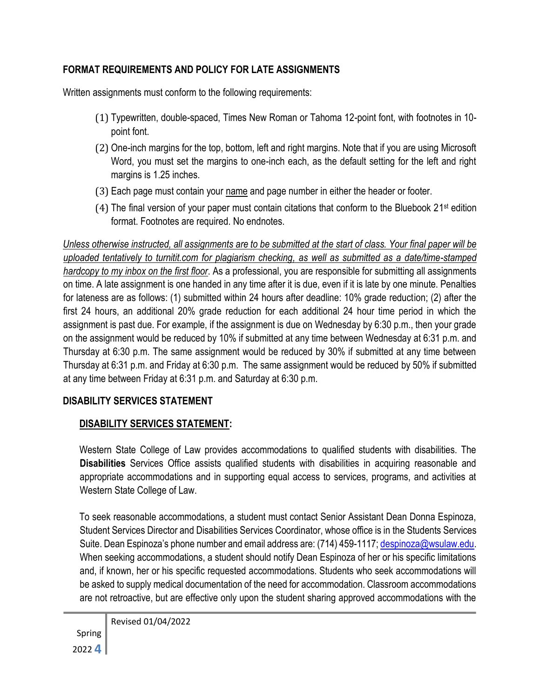### **FORMAT REQUIREMENTS AND POLICY FOR LATE ASSIGNMENTS**

Written assignments must conform to the following requirements:

- (1) Typewritten, double-spaced, Times New Roman or Tahoma 12-point font, with footnotes in 10 point font.
- (2) One-inch margins for the top, bottom, left and right margins. Note that if you are using Microsoft Word, you must set the margins to one-inch each, as the default setting for the left and right margins is 1.25 inches.
- (3) Each page must contain your name and page number in either the header or footer.
- (4) The final version of your paper must contain citations that conform to the Bluebook 21 st edition format. Footnotes are required. No endnotes.

*Unless otherwise instructed, all assignments are to be submitted at the start of class. Your final paper will be uploaded tentatively to turnitit.com for plagiarism checking, as well as submitted as a date/time-stamped hardcopy to my inbox on the first floor*. As a professional, you are responsible for submitting all assignments on time. A late assignment is one handed in any time after it is due, even if it is late by one minute. Penalties for lateness are as follows: (1) submitted within 24 hours after deadline: 10% grade reduction; (2) after the first 24 hours, an additional 20% grade reduction for each additional 24 hour time period in which the assignment is past due. For example, if the assignment is due on Wednesday by 6:30 p.m., then your grade on the assignment would be reduced by 10% if submitted at any time between Wednesday at 6:31 p.m. and Thursday at 6:30 p.m. The same assignment would be reduced by 30% if submitted at any time between Thursday at 6:31 p.m. and Friday at 6:30 p.m. The same assignment would be reduced by 50% if submitted at any time between Friday at 6:31 p.m. and Saturday at 6:30 p.m.

### **DISABILITY SERVICES STATEMENT**

# **DISABILITY SERVICES STATEMENT:**

Western State College of Law provides accommodations to qualified students with disabilities. The **Disabilities** Services Office assists qualified students with disabilities in acquiring reasonable and appropriate accommodations and in supporting equal access to services, programs, and activities at Western State College of Law.

To seek reasonable accommodations, a student must contact Senior Assistant Dean Donna Espinoza, Student Services Director and Disabilities Services Coordinator, whose office is in the Students Services Suite. Dean Espinoza's phone number and email address are: (714) 459-1117; despinoza@wsulaw.edu. When seeking accommodations, a student should notify Dean Espinoza of her or his specific limitations and, if known, her or his specific requested accommodations. Students who seek accommodations will be asked to supply medical documentation of the need for accommodation. Classroom accommodations are not retroactive, but are effective only upon the student sharing approved accommodations with the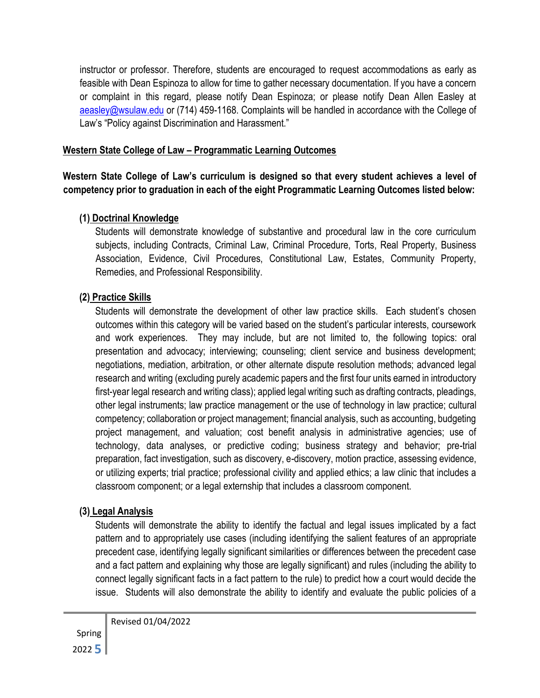instructor or professor. Therefore, students are encouraged to request accommodations as early as feasible with Dean Espinoza to allow for time to gather necessary documentation. If you have a concern or complaint in this regard, please notify Dean Espinoza; or please notify Dean Allen Easley at aeasley@wsulaw.edu or (714) 459-1168. Complaints will be handled in accordance with the College of Law's "Policy against Discrimination and Harassment."

#### **Western State College of Law – Programmatic Learning Outcomes**

**Western State College of Law's curriculum is designed so that every student achieves a level of competency prior to graduation in each of the eight Programmatic Learning Outcomes listed below:** 

#### **(1) Doctrinal Knowledge**

Students will demonstrate knowledge of substantive and procedural law in the core curriculum subjects, including Contracts, Criminal Law, Criminal Procedure, Torts, Real Property, Business Association, Evidence, Civil Procedures, Constitutional Law, Estates, Community Property, Remedies, and Professional Responsibility.

#### **(2) Practice Skills**

Students will demonstrate the development of other law practice skills. Each student's chosen outcomes within this category will be varied based on the student's particular interests, coursework and work experiences. They may include, but are not limited to, the following topics: oral presentation and advocacy; interviewing; counseling; client service and business development; negotiations, mediation, arbitration, or other alternate dispute resolution methods; advanced legal research and writing (excluding purely academic papers and the first four units earned in introductory first-year legal research and writing class); applied legal writing such as drafting contracts, pleadings, other legal instruments; law practice management or the use of technology in law practice; cultural competency; collaboration or project management; financial analysis, such as accounting, budgeting project management, and valuation; cost benefit analysis in administrative agencies; use of technology, data analyses, or predictive coding; business strategy and behavior; pre-trial preparation, fact investigation, such as discovery, e-discovery, motion practice, assessing evidence, or utilizing experts; trial practice; professional civility and applied ethics; a law clinic that includes a classroom component; or a legal externship that includes a classroom component.

#### **(3) Legal Analysis**

Students will demonstrate the ability to identify the factual and legal issues implicated by a fact pattern and to appropriately use cases (including identifying the salient features of an appropriate precedent case, identifying legally significant similarities or differences between the precedent case and a fact pattern and explaining why those are legally significant) and rules (including the ability to connect legally significant facts in a fact pattern to the rule) to predict how a court would decide the issue. Students will also demonstrate the ability to identify and evaluate the public policies of a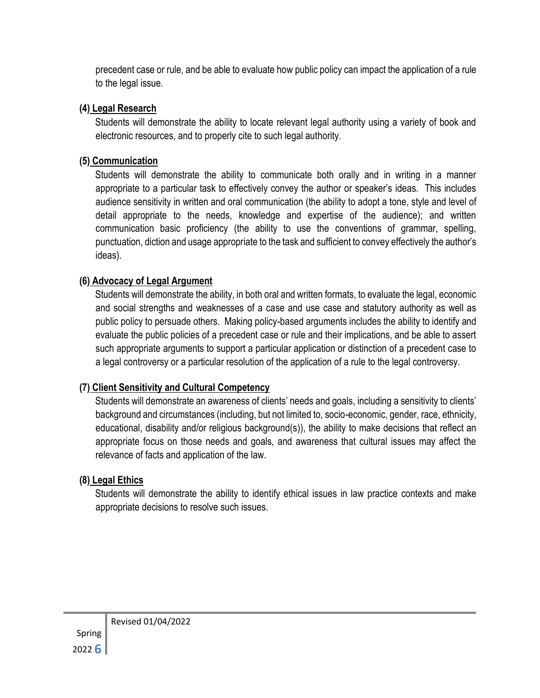precedent case or rule, and be able to evaluate how public policy can impact the application of a rule to the legal issue.

### **(4) Legal Research**

Students will demonstrate the ability to locate relevant legal authority using a variety of book and electronic resources, and to properly cite to such legal authority.

### **(5) Communication**

Students will demonstrate the ability to communicate both orally and in writing in a manner appropriate to a particular task to effectively convey the author or speaker's ideas. This includes audience sensitivity in written and oral communication (the ability to adopt a tone, style and level of detail appropriate to the needs, knowledge and expertise of the audience); and written communication basic proficiency (the ability to use the conventions of grammar, spelling, punctuation, diction and usage appropriate to the task and sufficient to convey effectively the author's ideas).

### **(6) Advocacy of Legal Argument**

Students will demonstrate the ability, in both oral and written formats, to evaluate the legal, economic and social strengths and weaknesses of a case and use case and statutory authority as well as public policy to persuade others. Making policy-based arguments includes the ability to identify and evaluate the public policies of a precedent case or rule and their implications, and be able to assert such appropriate arguments to support a particular application or distinction of a precedent case to a legal controversy or a particular resolution of the application of a rule to the legal controversy.

# **(7) Client Sensitivity and Cultural Competency**

Students will demonstrate an awareness of clients' needs and goals, including a sensitivity to clients' background and circumstances (including, but not limited to, socio-economic, gender, race, ethnicity, educational, disability and/or religious background(s)), the ability to make decisions that reflect an appropriate focus on those needs and goals, and awareness that cultural issues may affect the relevance of facts and application of the law.

# **(8) Legal Ethics**

Students will demonstrate the ability to identify ethical issues in law practice contexts and make appropriate decisions to resolve such issues.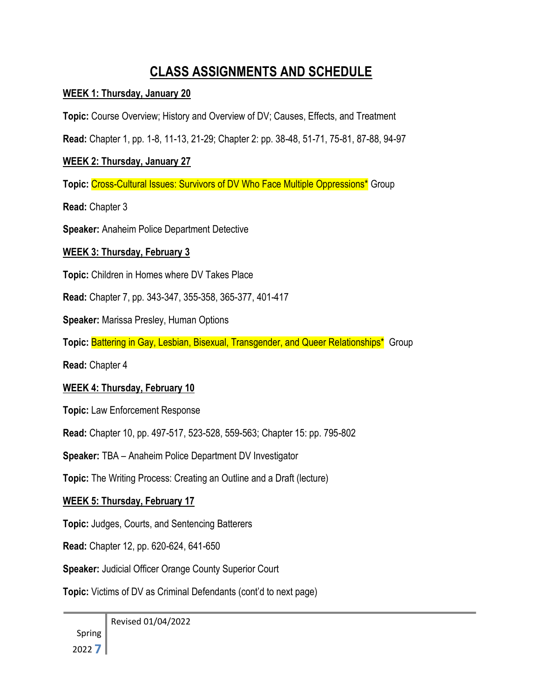# **CLASS ASSIGNMENTS AND SCHEDULE**

#### **WEEK 1: Thursday, January 20**

**Topic:** Course Overview; History and Overview of DV; Causes, Effects, and Treatment

**Read:** Chapter 1, pp. 1-8, 11-13, 21-29; Chapter 2: pp. 38-48, 51-71, 75-81, 87-88, 94-97

#### **WEEK 2: Thursday, January 27**

**Topic:** Cross-Cultural Issues: Survivors of DV Who Face Multiple Oppressions\* Group

**Read:** Chapter 3

**Speaker:** Anaheim Police Department Detective

#### **WEEK 3: Thursday, February 3**

**Topic:** Children in Homes where DV Takes Place

**Read:** Chapter 7, pp. 343-347, 355-358, 365-377, 401-417

**Speaker:** Marissa Presley, Human Options

**Topic: Battering in Gay, Lesbian, Bisexual, Transgender, and Queer Relationships\*** Group

**Read:** Chapter 4

#### **WEEK 4: Thursday, February 10**

**Topic:** Law Enforcement Response

**Read:** Chapter 10, pp. 497-517, 523-528, 559-563; Chapter 15: pp. 795-802

**Speaker:** TBA – Anaheim Police Department DV Investigator

**Topic:** The Writing Process: Creating an Outline and a Draft (lecture)

#### **WEEK 5: Thursday, February 17**

**Topic:** Judges, Courts, and Sentencing Batterers

**Read:** Chapter 12, pp. 620-624, 641-650

**Speaker:** Judicial Officer Orange County Superior Court

**Topic:** Victims of DV as Criminal Defendants (cont'd to next page)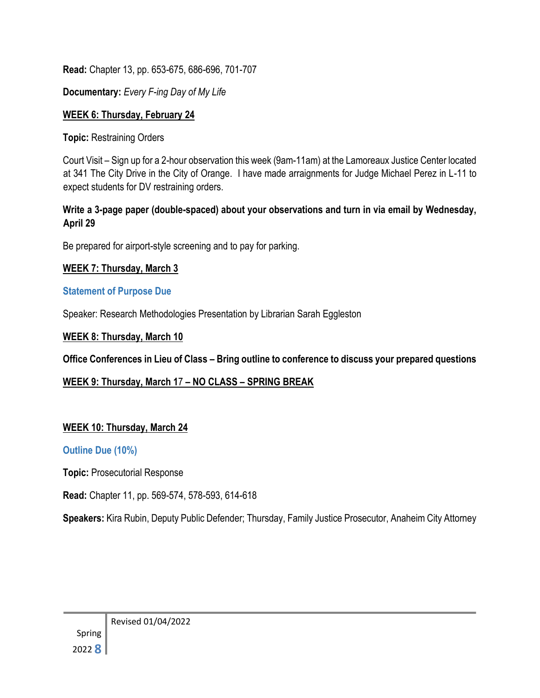**Read:** Chapter 13, pp. 653-675, 686-696, 701-707

**Documentary:** *Every F-ing Day of My Life*

### **WEEK 6: Thursday, February 24**

**Topic:** Restraining Orders

Court Visit – Sign up for a 2-hour observation this week (9am-11am) at the Lamoreaux Justice Center located at 341 The City Drive in the City of Orange. I have made arraignments for Judge Michael Perez in L-11 to expect students for DV restraining orders.

### **Write a 3-page paper (double-spaced) about your observations and turn in via email by Wednesday, April 29**

Be prepared for airport-style screening and to pay for parking.

# **WEEK 7: Thursday, March 3**

# **Statement of Purpose Due**

Speaker: Research Methodologies Presentation by Librarian Sarah Eggleston

# **WEEK 8: Thursday, March 10**

**Office Conferences in Lieu of Class – Bring outline to conference to discuss your prepared questions** 

# **WEEK 9: Thursday, March 1**7 **– NO CLASS – SPRING BREAK**

# **WEEK 10: Thursday, March 24**

# **Outline Due (10%)**

**Topic:** Prosecutorial Response

**Read:** Chapter 11, pp. 569-574, 578-593, 614-618

**Speakers:** Kira Rubin, Deputy Public Defender; Thursday, Family Justice Prosecutor, Anaheim City Attorney